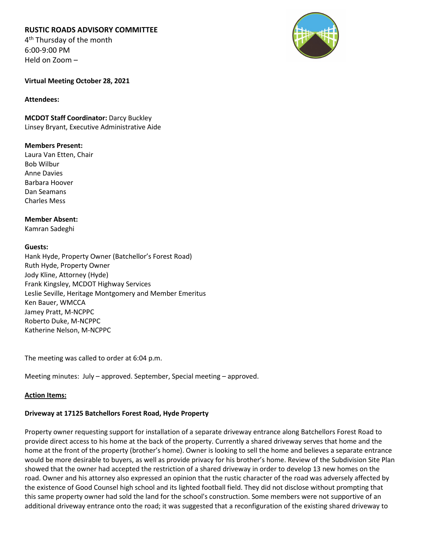# **RUSTIC ROADS ADVISORY COMMITTEE**

4<sup>th</sup> Thursday of the month 6:00-9:00 PM Held on Zoom –



## **Virtual Meeting October 28, 2021**

## **Attendees:**

**MCDOT Staff Coordinator:** Darcy Buckley Linsey Bryant, Executive Administrative Aide

## **Members Present:**

Laura Van Etten, Chair Bob Wilbur Anne Davies Barbara Hoover Dan Seamans Charles Mess

**Member Absent:** Kamran Sadeghi

### **Guests:**

Hank Hyde, Property Owner (Batchellor's Forest Road) Ruth Hyde, Property Owner Jody Kline, Attorney (Hyde) Frank Kingsley, MCDOT Highway Services Leslie Seville, Heritage Montgomery and Member Emeritus Ken Bauer, WMCCA Jamey Pratt, M-NCPPC Roberto Duke, M-NCPPC Katherine Nelson, M-NCPPC

The meeting was called to order at 6:04 p.m.

Meeting minutes: July – approved. September, Special meeting – approved.

### **Action Items:**

# **Driveway at 17125 Batchellors Forest Road, Hyde Property**

Property owner requesting support for installation of a separate driveway entrance along Batchellors Forest Road to provide direct access to his home at the back of the property. Currently a shared driveway serves that home and the home at the front of the property (brother's home). Owner is looking to sell the home and believes a separate entrance would be more desirable to buyers, as well as provide privacy for his brother's home. Review of the Subdivision Site Plan showed that the owner had accepted the restriction of a shared driveway in order to develop 13 new homes on the road. Owner and his attorney also expressed an opinion that the rustic character of the road was adversely affected by the existence of Good Counsel high school and its lighted football field. They did not disclose without prompting that this same property owner had sold the land for the school's construction. Some members were not supportive of an additional driveway entrance onto the road; it was suggested that a reconfiguration of the existing shared driveway to